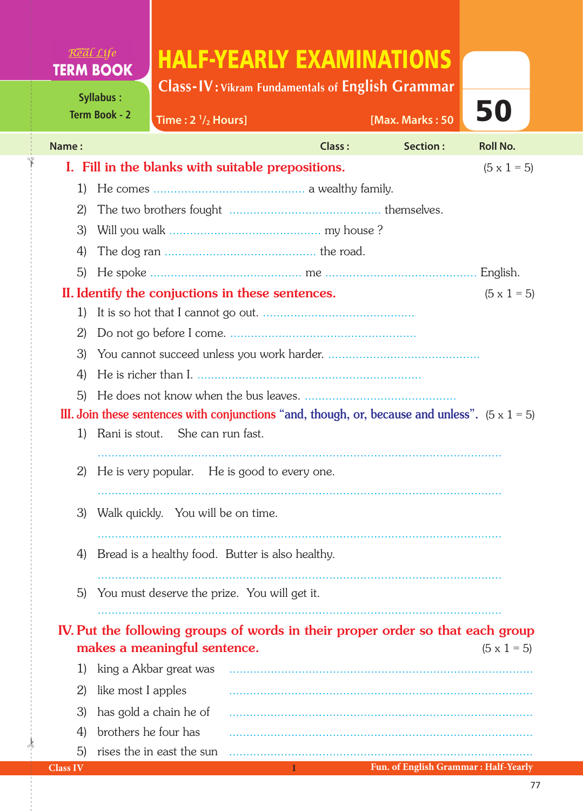## Real Life HALF-YEARLY EXAMINATIONS **TERM BOOK**

**Class-IV: Vikram Fundamentals of English Grammar** 

**/2 Hours] [Max. Marks : 50**

50

**Term Book - 2**

✁

**Time : 2 1**

| Name:                                                                                                 |                                                                        | Class: | Section: | <b>Roll No.</b>    |  |  |  |
|-------------------------------------------------------------------------------------------------------|------------------------------------------------------------------------|--------|----------|--------------------|--|--|--|
| I. Fill in the blanks with suitable prepositions.<br>$(5 \times 1 = 5)$                               |                                                                        |        |          |                    |  |  |  |
| 1)                                                                                                    |                                                                        |        |          |                    |  |  |  |
| $\mathbf{2}$                                                                                          |                                                                        |        |          |                    |  |  |  |
| 3)                                                                                                    |                                                                        |        |          |                    |  |  |  |
| 4)                                                                                                    |                                                                        |        |          |                    |  |  |  |
| 5)                                                                                                    |                                                                        |        |          | English.           |  |  |  |
|                                                                                                       | II. Identify the conjuctions in these sentences.<br>$(5 \times 1 = 5)$ |        |          |                    |  |  |  |
| 1)                                                                                                    |                                                                        |        |          |                    |  |  |  |
| 2)                                                                                                    |                                                                        |        |          |                    |  |  |  |
| 3)                                                                                                    |                                                                        |        |          |                    |  |  |  |
| 4)                                                                                                    |                                                                        |        |          |                    |  |  |  |
| 5)                                                                                                    |                                                                        |        |          |                    |  |  |  |
| III. Join these sentences with conjunctions "and, though, or, because and unless". $(5 \times 1 = 5)$ |                                                                        |        |          |                    |  |  |  |
| 1)                                                                                                    | Rani is stout. She can run fast.                                       |        |          |                    |  |  |  |
| 2)                                                                                                    | He is very popular. He is good to every one.                           |        |          |                    |  |  |  |
| 3)                                                                                                    | Walk quickly. You will be on time.                                     |        |          |                    |  |  |  |
| 4)                                                                                                    | Bread is a healthy food. Butter is also healthy.                       |        |          |                    |  |  |  |
| 5)                                                                                                    | You must deserve the prize. You will get it.                           |        |          |                    |  |  |  |
| IV. Put the following groups of words in their proper order so that each group                        |                                                                        |        |          |                    |  |  |  |
|                                                                                                       | makes a meaningful sentence.                                           |        |          | $(5 \times 1 = 5)$ |  |  |  |
| 1)                                                                                                    | king a Akbar great was                                                 |        |          |                    |  |  |  |
| 2)                                                                                                    | like most I apples                                                     |        |          |                    |  |  |  |
| 3)                                                                                                    | has gold a chain he of                                                 |        |          |                    |  |  |  |
| 4)                                                                                                    | brothers he four has                                                   |        |          |                    |  |  |  |
| 5)                                                                                                    | rises the in east the sun                                              |        |          |                    |  |  |  |

 $\frac{1}{2}$